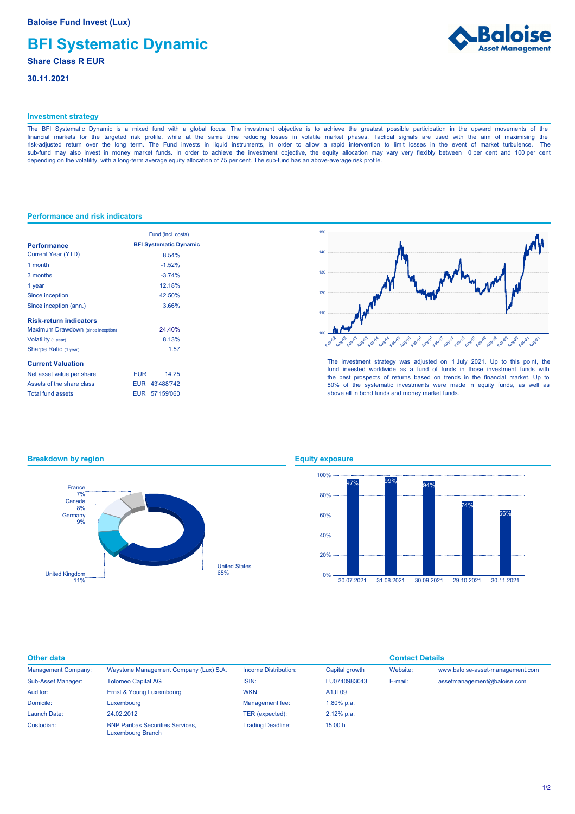# **BFI Systematic Dynamic**

## **Share Class R EUR**

**30.11.2021**



## **Investment strategy**

The BFI Systematic Dynamic is a mixed fund with a global focus. The investment objective is to achieve the greatest possible participation in the upward movements of the financial markets for the targeted risk profile, while at the same time reducing losses in volatile market phases. Tactical signals are used with the aim of maximising the risk-adjusted return over the long term. The Fund invests in liquid instruments, in order to allow a rapid intervention to limit losses in the event of market turbulence. The sub-fund may also invest in money market funds. In order to achieve the investment objective, the equity allocation may vary very flexibly between 0 per cent and 100 per cent depending on the volatility, with a long-term average equity allocation of 75 per cent. The sub-fund has an above-average risk profile.

## **Performance and risk indicators**

**Breakdown by region**

|                                    | Fund (incl. costs)            |  |  |
|------------------------------------|-------------------------------|--|--|
| <b>Performance</b>                 | <b>BFI Systematic Dynamic</b> |  |  |
| <b>Current Year (YTD)</b>          | 8.54%                         |  |  |
| 1 month                            | $-1.52%$                      |  |  |
| 3 months                           | $-3.74%$                      |  |  |
| 1 year                             | 12.18%                        |  |  |
| Since inception                    | 42.50%                        |  |  |
| Since inception (ann.)             | 3.66%                         |  |  |
| <b>Risk-return indicators</b>      |                               |  |  |
| Maximum Drawdown (since inception) | 24.40%                        |  |  |
| Volatility (1 year)                | 8.13%                         |  |  |
| Sharpe Ratio (1 year)              | 1.57                          |  |  |
| <b>Current Valuation</b>           |                               |  |  |
| Net asset value per share          | EUR<br>14 25                  |  |  |
| Assets of the share class          | EUR 43'488'742                |  |  |
| <b>Total fund assets</b>           | EUR 57'159'060                |  |  |



The investment strategy was adjusted on 1 July 2021. Up to this point, the fund invested worldwide as a fund of funds in those investment funds with the best prospects of returns based on trends in the financial market. Up to 80% of the systematic investments were made in equity funds, as well as above all in bond funds and money market funds.

## 65% United States 11% United Kingdom 9% Germany 8% Canada 7% France

## **Equity exposure**



| <b>Other data</b>          |                                                              |                          |                | <b>Contact Details</b> |                                  |
|----------------------------|--------------------------------------------------------------|--------------------------|----------------|------------------------|----------------------------------|
| <b>Management Company:</b> | Waystone Management Company (Lux) S.A.                       | Income Distribution:     | Capital growth | Website:               | www.baloise-asset-management.com |
| Sub-Asset Manager:         | <b>Tolomeo Capital AG</b>                                    | ISIN:                    | LU0740983043   | E-mail:                | assetmanagement@baloise.com      |
| Auditor:                   | Ernst & Young Luxembourg                                     | WKN:                     | A1JT09         |                        |                                  |
| Domicile:                  | Luxembourg                                                   | Management fee:          | 1.80% p.a.     |                        |                                  |
| Launch Date:               | 24.02.2012                                                   | TER (expected):          | 2.12% p.a.     |                        |                                  |
| Custodian:                 | <b>BNP Paribas Securities Services.</b><br>Luxembourg Branch | <b>Trading Deadline:</b> | 15:00 h        |                        |                                  |